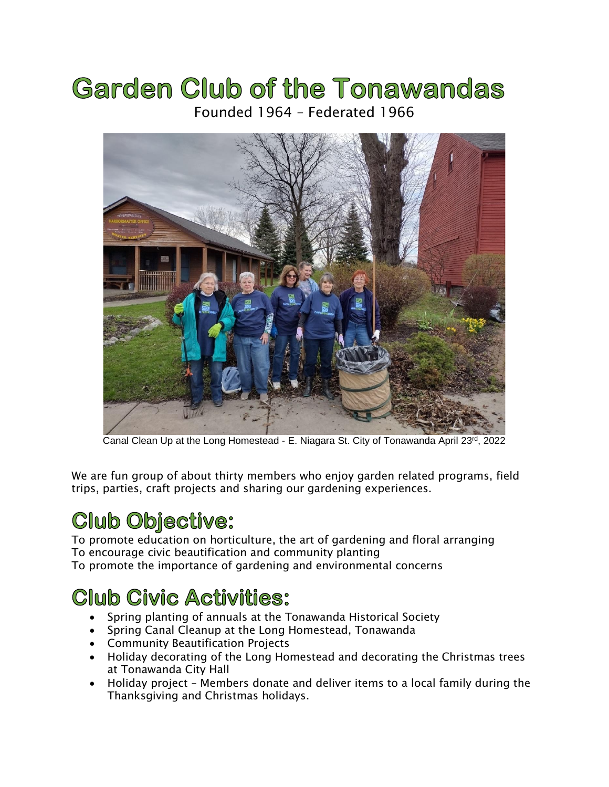# **Garden Club of the Tonawandas** Founded 1964 – Federated 1966



Canal Clean Up at the Long Homestead - E. Niagara St. City of Tonawanda April 23rd, 2022

We are fun group of about thirty members who enjoy garden related programs, field trips, parties, craft projects and sharing our gardening experiences.

# **Club Objective:**

To promote education on horticulture, the art of gardening and floral arranging To encourage civic beautification and community planting To promote the importance of gardening and environmental concerns

### **Club Civic Activities:**

- Spring planting of annuals at the Tonawanda Historical Society
- Spring Canal Cleanup at the Long Homestead, Tonawanda
- Community Beautification Projects
- Holiday decorating of the Long Homestead and decorating the Christmas trees at Tonawanda City Hall
- Holiday project Members donate and deliver items to a local family during the Thanksgiving and Christmas holidays.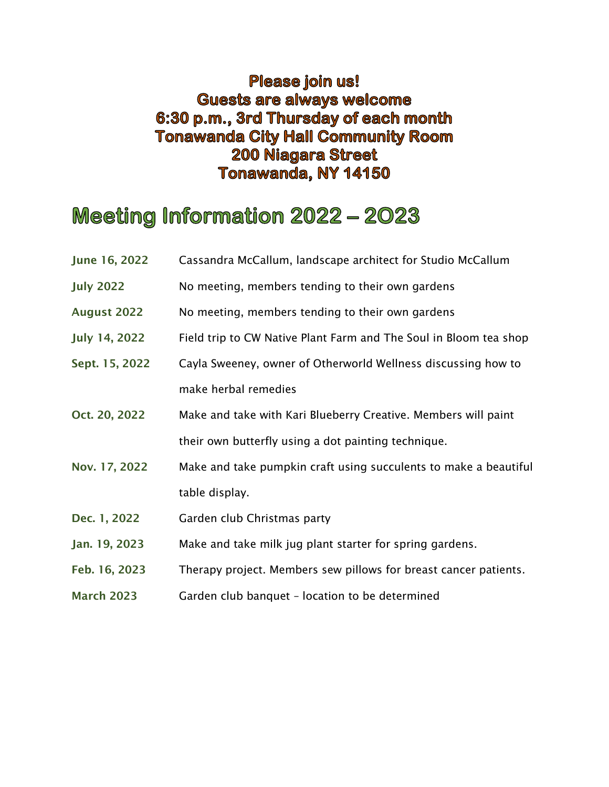#### **Please join us! Guests are always welcome** 6:30 p.m., 3rd Thursday of each month **Tonawanda City Hall Community Room 200 Niagara Street** Tonawanda, NY 14150

## Meeting Information 2022 - 2023

- June 16, 2022 Cassandra McCallum, landscape architect for Studio McCallum
- July 2022 No meeting, members tending to their own gardens
- August 2022 No meeting, members tending to their own gardens
- July 14, 2022 Field trip to CW Native Plant Farm and The Soul in Bloom tea shop
- Sept. 15, 2022 Cayla Sweeney, owner of Otherworld Wellness discussing how to make herbal remedies
- Oct. 20, 2022 Make and take with Kari Blueberry Creative. Members will paint their own butterfly using a dot painting technique.
- Nov. 17, 2022 Make and take pumpkin craft using succulents to make a beautiful table display.
- Dec. 1, 2022 Garden club Christmas party
- Jan. 19, 2023 Make and take milk jug plant starter for spring gardens.
- Feb. 16, 2023 Therapy project. Members sew pillows for breast cancer patients.
- March 2023 Garden club banquet location to be determined